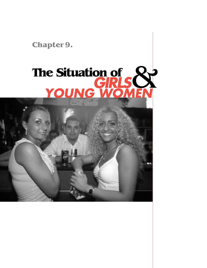**Chapter 9.**

# **The Situation of**  *GIRLS YOUNG WOMEN* &

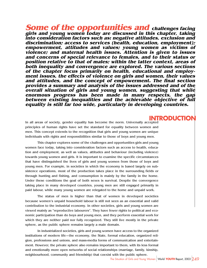**Some of the opportunities and challenges facing girls and young women today are discussed in this chapter, taking into consideration factors such as: negative attitudes, exclusion and discrimination; access to services (health, education, employment); empowerment, attitudes and values; young women as victims of violence; and maternal health issues. Attention is given to issues and concerns of special relevance to females, and to their status or position relative to that of males; within the latter context, areas of both inequality and convergence are explored. The various sections of the chapter focus primarily on health, educational and employment issues, the effects of violence on girls and women, their values and attitudes, and the concept of empowerment. The final section provides a summary and analysis of the issues addressed and of the overall situation of girls and young women, suggesting that while enormous progress has been made in many respects, the gap between existing inequalities and the achievable objective of full equality is still far too wide, particularly in developing countries.**

## **INTRODUCTION**

In all areas of society, gender equality has become the norm. Universally accepted principles of human rights have set the standard for equality between women and men. This concept extends to the recognition that girls and young women are unique individuals with rights and responsibilities similar to those of boys and young men.

This chapter explores some of the challenges and opportunities girls and young women face today, taking into consideration factors such as access to health, education and employment, as well as values, attitudes and behaviour (including violence) towards young women and girls. It is important to examine the specific circumstances that have distinguished the lives of girls and young women from those of boys and young men. For example, in societies in which the economy is based largely on subsistence operations, most of the production takes place in the surrounding fields or through hunting and fishing, and consumption is mainly by the family in the home. Under these conditions the goal of both sexes is survival. Despite the convergence taking place in many developed countries, young men are still engaged primarily in paid labour, while many young women are relegated to the home and unpaid work.

The status of men is higher than that of women in developed societies because women's unpaid household labour is still not seen as an essential and valid contribution to the industrial economy. In other societies, girls and young women are viewed mainly as "reproductive labourers". They have fewer rights to political and economic participation than do boys and young men, and they perform essential work for which they are neither paid nor fully recognized. They still live mostly in the private sphere, as the public sphere remains largely a male domain.

In industrialized societies, girls and young women have access to the organized institutions of modern life—the economy, the State, formal education, organized religion, professions and unions, and mass-media forms of communication and entertainment. However, the private sphere also remains important to them, with its less formal and emotionally more open networks of social relationships (marriage, family, kinship, neighbourhood, community and friendship) that coexist with the public sphere.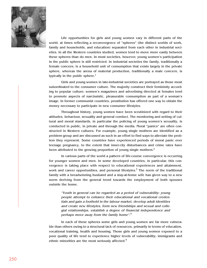

Life opportunities for girls and young women vary in different parts of the world, at times reflecting a reconvergence of "spheres" (the distinct worlds of work, family and households, and education) separated from each other in industrial societies. In all the Western countries studied, women tend to move more easily between these spheres than do men. In most societies, however, young women's participation in the public sphere is still restricted. In industrial societies the family, traditionally a female concern, is a household unit of consumption that exists largely in the private sphere, whereas the arena of material production, traditionally a male concern, is typically in the public sphere. $<sup>1</sup>$ </sup>

Girls and young women in late-industrial societies are portrayed as those most subordinated to the consumer culture. The majority construct their femininity according to popular culture; women's magazines and advertising directed at females tend to promote aspects of narcissistic, pleasurable consumption as part of a woman's image. In former communist countries, prostitution has offered one way to obtain the money necessary to participate in new consumer lifestyles.

Throughout history, young women have been scrutinized with regard to their attitudes, behaviour, sexuality and general conduct. The monitoring and setting of cultural and moral standards, in particular the policing of young women's sexuality, is conducted in public, in private and through the media. Moral "panics" are often constructed in Western cultures. For example, young single mothers are identified as a problem group and are discussed as such in an effort to find ways to alleviate the problem they represent. Some countries have experienced periods of moral panic over teenage pregnancy, to the extent that inner-city disturbances and crime rates have been attributed to the growing proportion of young single mothers. $<sup>2</sup>$ </sup>

In various parts of the world a pattern of life-course convergence is occurring for younger women and men. In some developed countries, in particular, this convergence is taking place with respect to educational experiences and attainment, work and career opportunities, and personal lifestyles.<sup>3</sup> The norm of the traditional family with a breadwinning husband and a stay-at-home wife has given way to a new norm deriving from the general trend towards the employment of both spouses outside the home.

"Youth in general can be regarded as a period of vulnerability: young people attempt to enhance their educational and vocational credentials and gain a foothold in the labour market, develop adult identities and create new lifestyles, form new friendships and sexual and collegial relationships, establish a degree of financial independence and perhaps move away from the family home".<sup>4</sup>

In each of these spheres some girls and young women are far more vulnerable than others owing to a structural lack of resources, primarily in terms of education, vocational training, health and housing. Those girls and young women exposed to a poor quality of life tend to experience higher levels of vulnerability; immigrants and ethnic minorities are the most seriously affected.<sup>5</sup>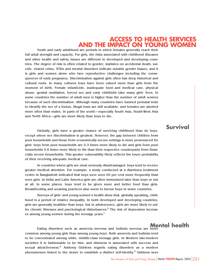#### **ACCESS TO HEALTH SERVICES AND THE IMPACT ON YOUNG WOMEN**

Youth and early adulthood are periods in which females generally reach their full adult strength and capacity. For girls, the risks associated with childhood diseases and other health and safety issues are different in developed and developing countries. The degree of risk is often related to gender; statistics on accidental death, suicide, violent crime, STDs and mental disorders indicate notable gender biases, and it is girls and women alone who face reproductive challenges including the consequences of early pregnancy. Discrimination against girls often has deep historical and cultural roots. In many cultures boys have been valued more than girls from the moment of birth. Female infanticide, inadequate food and medical care, physical abuse, genital mutilation, forced sex and early childbirth take many girls' lives. In some countries the number of adult men is higher than the number of adult women because of such discrimination. Although many countries have banned prenatal tests to identify the sex of a foetus, illegal tests are still available, and females are aborted more often than males. In parts of the world—especially South Asia, South-West Asia and North Africa—girls are more likely than boys to die.

Globally, girls have a greater chance of surviving childhood than do boys, except where sex discrimination is greatest. However, the gap between children from poor households and those from economically secure settings is more pronounced for girls: boys from poor households are 4.3 times more likely to die and girls from poor households 4.8 times more likely to die than their respective counterparts from financially secure households. This greater vulnerability likely reflects the lower probability of their receiving adequate medical care.

In countries where girls are most seriously disadvantaged, boys tend to receive greater medical attention. For example, a study conducted at a diarrhoea treatment centre in Bangladesh indicated that boys were seen 66 per cent more frequently than were girls. In India and Latin America girls are often immunized later than boys or not at all. In some places, boys tend to be given more and better food than girls. Breastfeeding and weaning practices also seem to favour boys in some countries.

Surveys of girls' and young women's health show that, globally speaking, childhood is a period of relative inequality. In both developed and developing countries, girls are generally healthier than boys, but in adolescence, girls are more likely to suffer chronic illnesses and psychological disturbances. $6$  The risk of depression increases among young women during the teenage years.<sup>7</sup>

Eating disorders such as anorexia nervosa and bulimia nervosa are more common among young girls than among young boys. Both anorexia and bulimia tend to be concentrated among white, middle-class teenage girls. In Western late-modern societies it is fashionable to be thin, and slimness is associated with success and sexual attractiveness.<sup>8</sup> Anthony Giddens regards eating disorders as a modern phenomenon linked to the desire to establish a distinct self-identity.<sup>9</sup> Giddens sees **Mental health**

#### **Survival**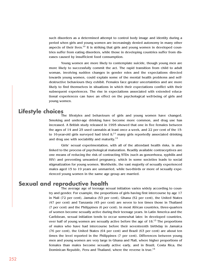such disorders as a determined attempt to control body image and identity during a period when girls and young women are increasingly denied autonomy in many other aspects of their lives.<sup>10</sup> It is striking that girls and young women in developed countries suffer from eating disorders, while those in developing countries suffer from diseases caused by insufficient food consumption.

Young women are more likely to contemplate suicide, though young men are more likely to successfully commit the act. The rapid transition from child to adult woman, involving sudden changes in gender roles and the expectations directed towards young women, could explain some of the mental health problems and selfdestructive behaviours they exhibit. Females face greater uncertainties and are more likely to find themselves in situations in which their expectations conflict with their subsequent experiences. The rise in expectations associated with extended educational experiences can have an effect on the psychological well-being of girls and young women.

#### **Lifestyle choices**

The lifestyles and behaviours of girls and young women have changed. Smoking and under-age drinking have become more common, and drug use has increased. A British study released in 1995 showed that one in five females between the ages of 14 and 25 used cannabis at least once a week, and 22 per cent of the 15 to 16-year-old girls surveyed had tried it;<sup>11</sup> many girls reportedly associated drinking and drug use with sociability and maturity. $12$ 

Girls' sexual experimentation, with all of the attendant health risks, is also linked to the process of psychological maturation. Readily available contraceptives are one means of reducing the risk of contracting STDs (such as gonorrhoea, syphilis and HIV) and preventing unwanted pregnancy, which in some societies leads to social stigmatization for young women. Worldwide, the vast majority of sexually experienced males aged 15 to 19 years are unmarried, while two-thirds or more of sexually experienced young women in the same age group are married.

#### **Sexual and reproductive health**

The average age of teenage sexual initiation varies widely according to country and gender. For example, the proportions of girls having first intercourse by age 17 in Mali (72 per cent), Jamaica (53 per cent), Ghana (52 per cent), the United States (47 per cent) and Tanzania (45 per cent) are seven to ten times those in Thailand (7 per cent) and the Philippines (6 per cent). In most African countries, three-quarters of women become sexually active during their teenage years. In Latin America and the Caribbean, sexual initiation tends to occur somewhat later. In developed countries, over half of young women are sexually active before the age of  $18$ .<sup>13</sup> The proportions of males who have had intercourse before their seventeenth birthday in Jamaica (76 per cent), the United States (64 per cent) and Brazil (63 per cent) are about ten times the level reported in the Philippines (7 per cent). Differences between young men and young women are very large in Ghana and Mali, where higher proportions of females than males become sexually active early, and in Brazil, Costa Rica, the Dominican Republic, Peru and Thailand, where the reverse is true.<sup>14</sup>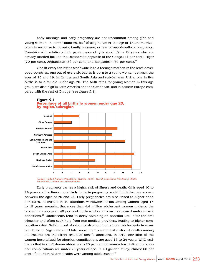Early marriage and early pregnancy are not uncommon among girls and young women. In some countries, half of all girls under the age of 18 are married, often in response to poverty, family pressure, or fear of out-of-wedlock pregnancy. Countries with relatively high percentages of girls aged 15 to 19 years who are already married include the Democratic Republic of the Congo (74 per cent), Niger (70 per cent), Afghanistan (54 per cent) and Bangladesh (51 per cent).15

One in every ten births worldwide is to a teenage mother. In the least developed countries, one out of every six babies is born to a young woman between the ages of 15 and 19. In Central and South Asia and sub-Saharan Africa, one in five births is to a female under age 20. The birth rates for young women in this age group are also high in Latin America and the Caribbean, and in Eastern Europe compared with the rest of Europe (see figure 9.1).



#### **Figure 9.1 Percentage of all births to women under age 20, by region/subregion**

Source: United Nations Population Division, 2000. World population Monitoring, 2000: Population, Gender and Development.

Early pregnancy carries a higher risk of illness and death. Girls aged 10 to 14 years are five times more likely to die in pregnancy or childbirth than are women between the ages of 20 and 24. Early pregnancies are also linked to higher abortion rates. At least 1 in 10 abortions worldwide occurs among women aged 15 to 19 years, meaning that more than 4.4 million adolescent women undergo the procedure every year; 40 per cent of these abortions are performed under unsafe conditions.16 Adolescents tend to delay obtaining an abortion until after the first trimester and often seek help from non-medical providers, leading to higher complication rates. Self-induced abortion is also common among adolescents in many countries. In Argentina and Chile, more than one-third of maternal deaths among adolescents are the direct result of unsafe abortions. In Peru, one-third of the women hospitalized for abortion complications are aged 15 to 24 years. WHO estimates that in sub-Saharan Africa, up to 70 per cent of women hospitalized for abortion complications are under 20 years of age. In a Ugandan study, almost 60 per cent of abortion-related deaths were among adolescents.<sup>17</sup>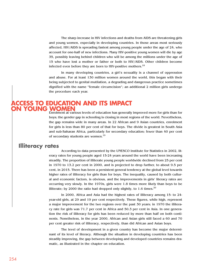The sharp increase in HIV infections and deaths from AIDS are threatening girls and young women, especially in developing countries. In those areas most seriously affected, HIV/AIDS is spreading fastest among young people under the age of 24, who account for one-half of new infections. Many HIV-positive young women will die by age 35, possibly leaving behind children who will be among the millions under the age of 15 who have lost a mother or father or both to HIV/AIDS. Other children become infected even before they are born to HIV-positive mothers.<sup>18</sup>

In many developing countries, a girl's sexuality is a channel of oppression and abuse. For at least 130 million women around the world, this began with their being subjected to genital mutilation, a degrading and dangerous practice sometimes dignified with the name "female circumcision"; an additional 2 million girls undergo the procedure each year.

#### **ACCESS TO EDUCATION AND ITS IMPACT YOUNG WOMEN**

Enrolment at various levels of education has generally improved more for girls than for boys; the gender gap in schooling is closing in most regions of the world. Nevertheless, the gap remains wide in many areas. In 22 African and 9 Asian countries, enrolment for girls is less than 80 per cent of that for boys. The divide is greatest in South Asia and sub-Saharan Africa, particularly for secondary education; fewer than 40 per cent of secondary students are women.<sup>19</sup>

#### **Illiteracy rates**

According to data presented by the UNESCO Institute for Statistics in 2002, literacy rates for young people aged 15-24 years around the world have been increasing steadily. The proportion of illiterate young people worldwide declined from 25 per cent in 1970 to 13.2 per cent in 2000, and is projected to drop further, to about 9.5 per cent, in 2015. There has been a persistent general tendency at the global level towards higher rates of illiteracy for girls than for boys. The inequality, caused by both cultural and economic factors, is obvious, and the improvements in girls' literacy rates are occurring very slowly. In the 1970s, girls were 1.8 times more likely than boys to be illiterate; by 2000 the ratio had dropped only slightly, to 1.6 times.<sup>20</sup>

In 2000, Africa and Asia had the highest rates of illiteracy among 15- to 24 year-old girls, at 29 and 19 per cent respectively. These figures, while high, represent a major improvement for the two regions over the past 30 years; in 1970 the illiteracy rate for girls was 71.7 per cent in Africa and 50.3 per cent in Asia. In one generation the risk of illiteracy for girls has been reduced by more than half on both continents. Nonetheless, in the year 2000, African and Asian girls still faced a 60 and 70 per cent greater risk of illiteracy, respectively, than did African and Asian boys.

The level of development in a given country has become the major determinant of its level of literacy. Although the situation in developing countries has been steadily improving, the gap between developing and developed countries remains dramatic, as illustrated in the chapter on education.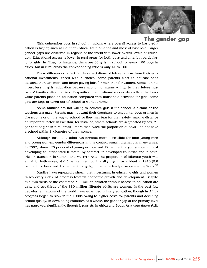

## **The gender gap**

Girls outnumber boys in school in regions where overall access to basic education is higher, such as Southern Africa, Latin America and most of East Asia. Larger gender gaps are observed in regions of the world with lower overall levels of education. Educational access is lower in rural areas for both boys and girls, but particularly for girls. In Niger, for instance, there are 80 girls in school for every 100 boys in cities, but in rural areas the corresponding ratio is only 41 to 100.

These differences reflect family expectations of future returns from their educational investments. Faced with a choice, some parents elect to educate sons because there are more and better-paying jobs for men than for women. Some parents invest less in girls' education because economic returns will go to their future husbands' families after marriage. Disparities in educational access also reflect the lower value parents place on education compared with household activities for girls; some girls are kept or taken out of school to work at home.

Some families are not willing to educate girls if the school is distant or the teachers are male. Parents may not want their daughters to encounter boys or men in classrooms or on the way to school, or they may fear for their safety, making distance an important factor. In Pakistan, for instance, where schools are segregated by sex, 21 per cent of girls in rural areas—more than twice the proportion of boys—do not have a school within 1 kilometre of their homes. $21$ 

Although basic education has become more accessible for both young men and young women, gender differences in this context remain dramatic in many areas. In 2002, almost 20 per cent of young women and 12 per cent of young men in most developing countries were illiterate. By contrast, in developed countries and in countries in transition in Central and Western Asia, the proportion of illiterate youth was equal for both sexes, at 0.3 per cent; although a slight gap was evident in 1970 (0.8 per cent for boys and 1.2 per cent for girls), it had effectively disappeared by 2002.<sup>22</sup>

Studies have repeatedly shown that investment in educating girls and women raises every index of progress towards economic growth and development. Despite this, two-thirds of the estimated 300 million children without access to education are girls, and two-thirds of the 880 million illiterate adults are women. In the past few decades, all regions of the world have expanded primary education, though in Africa progress began to slow in the 1980s owing to higher costs for parents and declining school quality. In developing countries as a whole, the gender gap at the primary level has narrowed significantly, though it persists in Africa and South Asia (see figure 9.2).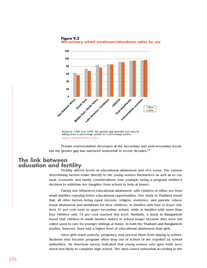

**Figure 9.2 Net primary school enrolment/attendance ratios by sex**

falling from 6 percentage points to 3 percentage points. Source UNICEF?UNESCO, 2001

Female representation decreases at the secondary and post-secondary levels, but the gender gap has narrowed somewhat in recent decades. $^{23}$ 

#### **The link between education and fertility**

Fertility affects levels of educational attainment and vice versa. The various determining factors relate directly to the young women themselves as well as to cultural, economic and family considerations (one example being a pregnant mother's decision to withdraw her daughter from school to help at home).

Family size influences educational attainment, with children of either sex from small families enjoying better educational opportunities. One study in Thailand found that, all other factors being equal (income, religion, residence, and parents' educational attainment and ambitions for their children), in families with four or fewer children 31 per cent went to upper secondary school, while in families with more than four children only 14 per cent reached this level. Similarly, a study in Bangladesh found that children in small families stayed in school longer because they were not called upon to care for younger siblings at home. In both the Thailand and Bangladesh studies, however, boys had a higher level of educational attainment than girls.

Once girls reach puberty, pregnancy may prevent them from staying in school. Students who become pregnant often drop out of school or are expelled by school authorities. An American survey indicated that young women who gave birth were much less likely to complete high school. The rates varied somewhat according to the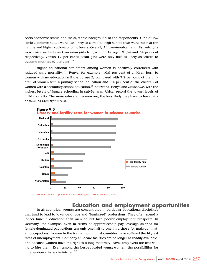socio-economic status and racial/ethnic background of the respondents. Girls of low socio-economic status were less likely to complete high school than were those at the middle and higher socio-economic levels. Overall, African-American and Hispanic girls were twice as likely as Caucasian girls to give birth by age 19 (39 and 34 per cent respectively, versus 17 per cent); Asian girls were only half as likely as whites to become mothers  $(9 \text{ per cent})$ .<sup>24</sup>

Higher educational attainment among women is positively correlated with reduced child mortality. In Kenya, for example, 10.9 per cent of children born to women with no education will die by age 5, compared with 7.2 per cent of the children of women with a primary school education and 6.4 per cent of the children of women with a secondary school education.<sup>25</sup> Botswana, Kenya and Zimbabwe, with the highest levels of female schooling in sub-Saharan Africa, record the lowest levels of child mortality. The more educated women are, the less likely they have to have larger families (see figure 9.3).



Source: UNFPA, Population Issues Briefing Kit 2001 (New York, 2001).

#### **Education and employment opportunities**

In all countries, women are concentrated in particular educational disciplines that tend to lead to lower-paid jobs and "feminized" professions. They often spend a longer time in education than men do but face poorer employment prospects. In Germany, for example, even in terms of apprenticeship pay, average salaries for female-dominated occupations are only one-half to one-third those for male-dominated occupations. Women in the former communist countries have suffered the highest rates of unemployment. Company childcare facilities are no longer as readily available, and because women have the right to a long maternity leave, employers are less willing to hire them. Even among the best-educated young women, the possibilities for independence have diminished.26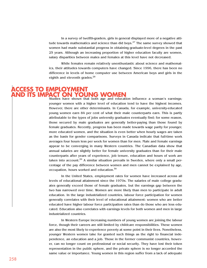In a survey of twelfth-graders, girls in general displayed more of a negative attitude towards mathematics and science than did boys.<sup>27</sup> The same survey showed that women had made substantial progress in obtaining graduate-level degrees in the past 25 years. Although an increasing proportion of higher education faculty are women, salary disparities between males and females at this level have not decreased.

While females remain relatively unenthusiastic about science and mathematics, their attitudes towards computers have changed. Since 1996, there has been no difference in levels of home computer use between American boys and girls in the eighth and eleventh grades. $^{28}$ 

#### Studies have shown that both age and education influence a woman's earnings; **ACCESS TO EMPLOYMENT AND ITS IMPACT ON YOUNG WOMEN**

younger women with a higher level of education tend to have the highest incomes. However, there are other determinants. In Canada, for example, university-educated young women earn 84 per cent of what their male counterparts earn. This is partly attributable to the types of jobs university graduates eventually find; for some reason, those secured by male graduates are generally better-paying than those found by female graduates. Recently, progress has been made towards wage parity for younger, more educated women, and the situation is even better when hourly wages are taken as the basis for gender comparisons. Surveys in Canada indicate that full-time work averages four hours less per week for women than for men. Male and female earnings appear to be converging in many Western countries. The Canadian data show that annual salaries are slightly better for female university graduates than for their male counterparts after years of experience, job tenure, education and hours of work are taken into account.<sup>29</sup> A similar situation prevails in Sweden, where only a small percentage of the pay difference between women and men cannot be explained by age, occupation, hours worked and education.<sup>30</sup>

In the United States, employment rates for women have increased across all levels of educational attainment since the 1970s. The salaries of male college graduates generally exceed those of female graduates, but the earnings gap between the two has narrowed over time. Women are more likely than men to participate in adult education. In the large industrialized countries, labour force participation for women generally correlates with their level of educational attainment: women who are better educated have higher labour force participation rates than do those who are less educated. Education also correlates with earnings levels for both women and men in large industrialized countries.

In Western Europe increasing numbers of young women are joining the labour force, though their careers are still limited by childcare responsibilities. These women are also the most likely to experience poverty at some point in their lives. Nonetheless, younger Western women take for granted such things as the right to financial independence, an education and a job. Those in the former communist countries, however, can no longer count on professional or social security. They have lost their token representation in the public sphere, and the private sphere is no longer accorded the same value or importance. Young women in this region suffer from a lack of adequate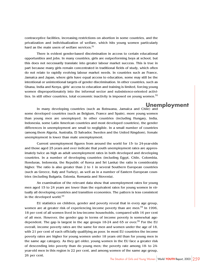contraceptive facilities, increasing restrictions on abortion in some countries, and the privatization and individualization of welfare, which hits young women particularly hard as the main users of welfare services. $31$ 

There is evident gender-based discrimination in access to certain educational opportunities and jobs. In many countries, girls are outperforming boys at school, but this does not necessarily translate into greater labour market success. This is true in part because many girls remain concentrated in traditional fields of study, which often do not relate to rapidly evolving labour market needs. In countries such as France, Jamaica and Japan, where girls have equal access to education, some may still be the intentional or unintentional targets of gender discrimination. In other countries, such as Ghana, India and Kenya, girls' access to education and training is limited, forcing young women disproportionately into the informal sector and subsistence-oriented activities. In still other countries, total economic inactivity is imposed on young women.<sup>32</sup>

#### **Unemployment**

In many developing countries (such as Botswana, Jamaica and Chile) and some developed countries (such as Belgium, France and Spain), more young women than young men are unemployed. In other countries (including Hungary, India, Indonesia, some Latin American countries and most developed countries), the gender differences in unemployment are small to negligible. In a small number of countries (among them Algeria, Australia, El Salvador, Sweden and the United Kingdom), female unemployment is lower than male unemployment.

Current unemployment figures from around the world for 15- to 24-year-olds and those aged 25 years and over indicate that youth unemployment rates are approximately twice as high as adult unemployment rates in both developed and developing countries. In a number of developing countries (including Egypt, Chile, Colombia, Honduras, Indonesia, the Republic of Korea and Sri Lanka) the ratio is considerably higher. The ratio is also greater than 2 to 1 in several Southern European countries (such as Greece, Italy and Turkey), as well as in a number of Eastern European countries (including Bulgaria, Estonia, Romania and Slovenia).

An examination of the relevant data show that unemployment rates for young men aged 15 to 24 years are lower than the equivalent rates for young women in virtually all developing countries and transition economies. The pattern is less consistent in the developed world.<sup>33</sup>

EU statistics on children, gender and poverty reveal that in every age group, women are at greater risk of experiencing income poverty than are men.<sup>34</sup> In 1996, 18 per cent of all women lived in low-income households, compared with 16 per cent of all men. However, the gender gap in terms of income poverty is somewhat agedependent. The gap is largest in the age groups  $18-24$  and 65 or over.<sup>35</sup> For the EU overall, income poverty rates are the same for men and women under the age of 18, with 21 per cent of each officially qualifying as poor. In most EU countries the income poverty rates are higher for young women under 18 years old than for young men in the same age category. As they get older, young women in the EU face a greater risk of descending into poverty than do young men; the poverty rate among 18- to 24 year-old men in this region is 22 per cent, and among women of the same age group, 26 per cent.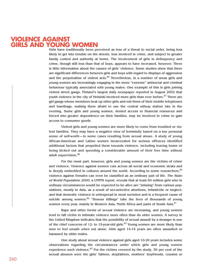#### **VIOLENCE AGAINST GIRLS AND YOUNG WOMEN**

Girls have traditionally been perceived as less of a threat to social order, being less likely to get into trouble on the streets, less involved in crime, and subject to greater family control and authority at home. The involvement of girls in delinquency and crime, though still less than that of boys, appears to have increased, however. There is little information about the causes of girls' violence. Some studies show that there are significant differences between girls and boys with regard to displays of aggression and the perpetration of violent  $acts.<sup>36</sup> Nevertheless, in a number of areas girls and$ young women are increasingly engaging in the more "extreme" antisocial and criminal behaviour typically associated with young males. One example of this is girls joining violent street gangs. Finland's largest daily newspaper reported in August 2002 that youth violence in the city of Helsinki involved more girls than ever before.<sup>37</sup> There are girl gangs whose members beat up other girls and rob them of their mobile telephones and handbags, making them afraid to use the central railway station late in the evening. Some girls and young women, denied access to financial resources and forced into greater dependence on their families, may be involved in crime to gain access to consumer goods.

Violent girls and young women are more likely to come from troubled or violent families. They may have a negative view of femininity based on a low personal sense of self-worth—in some cases resulting from sexual abuse. A study of young African-American and Latino women incarcerated for serious offences identified additional factors that propelled them towards violence, including leaving home or being kicked out and spending a considerable amount of their free time without adult supervision.<sup>38</sup>

For the most part, however, girls and young women are the victims of crime and violence. Violence against women cuts across all social and economic strata and is deeply embedded in cultures around the world. According to some researchers, $39$ violence against females can even be classified as an ordinary part of life. The State of World Population 2000, a UNFPA report, reveals that at least 60 million girls who in ordinary circumstances would be expected to be alive are "missing" from various populations, mostly in Asia, as a result of sex-selective abortions, infanticide or neglect; and that domestic violence is widespread in most societies and is a frequent cause of suicide among women. $40$  "Honour killings" take the lives of thousands of young women every year, mainly in Western Asia, North Africa and parts of South Asia.<sup>41</sup>

Rape and other forms of sexual violence are increasing, and young women tend to fall victim to intimate violence more often than do older women. A survey in the United Kingdom indicates that the possibility of sexual assault by a stranger is one of the chief concerns of 12- to 15-year-old girls.<sup>42</sup> Young women are more likely than men to feel unsafe when out alone. Girls aged 14-15 years are often assaulted or harassed by older males.

One study about sexual violence against girls aged 10-20 years includes some observations regarding the circumstances under which girls and young women experience such violence.<sup>43</sup> For the victims covered by the study, 30 per cent of the sexual abusers were the girls' fathers, stepfathers, mothers' boyfriends, cousins or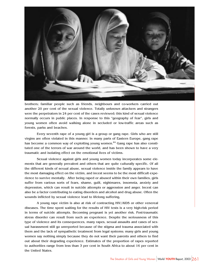

brothers; familiar people such as friends, neighbours and co-workers carried out another 20 per cent of the sexual violence. Totally unknown attackers and strangers were the perpetrators in 24 per cent of the cases reviewed; this kind of sexual violence normally occurs in public places. In response to this "geography of fear", girls and young women often avoid walking alone in secluded or low-traffic areas such as forests, parks and beaches.

Every seventh rape of a young girl is a group or gang rape. Girls who are still virgins are often violated in this manner. In many parts of Eastern Europe, gang rape has become a common way of exploiting young women.<sup>44</sup> Gang rape has also constituted one of the terrors of war around the world, and has been shown to have a very traumatic and isolating effect on the emotional lives of victims.

Sexual violence against girls and young women today incorporates some elements that are generally prevalent and others that are quite culturally specific. Of all the different kinds of sexual abuse, sexual violence inside the family appears to have the most damaging effect on the victim, and incest seems to be the most difficult experience to survive mentally. After being raped or abused within their own families, girls suffer from various sorts of fears, shame, guilt, nightmares, insomnia, anxiety and depression, which can result in suicide attempts or aggression and anger. Incest can also be a factor contributing to eating disorders and alcohol and drug abuse. Often the wounds inflicted by sexual violence lead to lifelong suffering.

A young rape victim is also at risk of contracting HIV/AIDS or other venereal diseases. The time spent waiting for the results of HIV tests is a very high-risk period in terms of suicide attempts. Becoming pregnant is yet another risk. Post-traumatic stress disorder can result from such an experience. Despite the seriousness of this type of violence and its consequences, many rapes, sexual assaults and cases of sexual harassment still go unreported because of the stigma and trauma associated with them and the lack of sympathetic treatment from legal systems; many girls and young women say nothing simply because they do not want their parents and others to find out about their degrading experience. Estimates of the proportion of rapes reported to authorities range from less than 3 per cent in South Africa to about 16 per cent in the United States.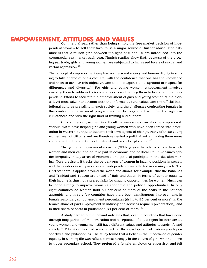## **EMPOWERMENT, ATTITUDES AND VALUES**

Commercial sex, rather than being simply the free market decision of independent women to sell their favours, is a major source of further abuse. One estimate is that 2 million girls between the ages of 5 and 15 are introduced into the commercial sex market each year. Finnish studies show that, because of the growing sex trade, girls and young women are subjected to increased levels of sexual and verbal aggression.<sup>46</sup>

The concept of empowerment emphasizes personal agency and human dignity in striving to take charge of one's own life, with the confidence that one has the knowledge and skills to achieve this objective, and to do so against a background of respect for differences and diversity. $47$  For girls and young women, empowerment involves enabling them to address their own concerns and helping them to become more independent. Efforts to facilitate the empowerment of girls and young women at the global level must take into account both the informal cultural values and the official institutional cultures prevailing in each society, and the challenges confronting females in this context. Empowerment programmes can be very effective under the right circumstances and with the right kind of training and support.

Girls and young women in difficult circumstances can also be empowered. Various NGOs have helped girls and young women who have been forced into prostitution in Western Europe to become their own agents of change. Many of these young women are not citizens and are therefore denied a political voice, making them more vulnerable to different kinds of material and sexual exploitation.<sup>48</sup>

The gender empowerment measure (GEM) gauges the relative extent to which women and men can and do take part in economic and political life. It measures gender inequality in key areas of economic and political participation and decision-making. More precisely, it tracks the percentages of women in leading positions in society and the gender disparity in economic independence as reflected in earning levels. The GEM standard is applied around the world and shows, for example, that the Bahamas and Trinidad and Tobago are ahead of Italy and Japan in terms of gender equality. High income is thus not a prerequisite for creating opportunities for women. Much can be done simply to improve women's economic and political opportunities. In only eight countries do women hold 30 per cent or more of the seats in the national assembly, and in very few countries have there been simultaneous improvements in female secondary school enrolment percentages (rising to 95 per cent or more), in the female share of paid employment in industry and services (equal representation), and in their share of seats in parliament  $(39$  per cent or more).<sup>49</sup>

A study carried out in Finland indicates that, even in countries that have gone through long periods of modernization and acceptance of equal rights for both sexes, young women and young men still have different values and attitudes towards life and society.<sup>50</sup> Education has had some effect on the development of various youth perspectives and philosophies. The study found that a belief in the importance of gender equality in working life was reflected most strongly in the values of girls who had been to upper secondary school. They preferred a female employer or supervisor and felt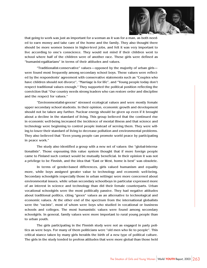

that going to work was just as important for a woman as it was for a man, as both needed to earn money and take care of the home and the family. They also thought there should be more women bosses in higher-level jobs, and felt it was very important to live according to one's conscience. They would not mind if their children went to school where half of the children were of another race. These girls were defined as "humanist-egalitarians" in terms of their attitudes and values.

"Traditionalist-conservative" values—opposed by the majority of urban girls were found most frequently among secondary school boys. These values were reflected by the respondents' agreement with conservative statements such as "Couples who have children should not divorce", "Marriage is for life", and "Young people today don't respect traditional values enough." They supported the political position reflecting the conviction that "Our country needs strong leaders who can restore order and discipline and the respect for values."

"Environmentalist-greens" stressed ecological values and were mostly female upper secondary school students. In their opinion, economic growth and development should not be taken any further. Nuclear energy should be given up even if it brought about a decline in the standard of living. This group believed that the continued rise in economic well-being increased the incidence of mental illness and that science and technology were beginning to control people instead of serving them. They were willing to lower their standard of living to decrease pollution and environmental problems. They also believed that "Even young people can promote world peace by participating in peace work."

The study also identified a group with a new set of values: the "global-internationalists". Those espousing this value system thought that if more foreign people came to Finland such contact would be mutually beneficial. In their opinion it was not a privilege to be Finnish, and the idea that "East or West, home is best" was obsolete.

In terms of gender-based differences, girls valued humanism and equality more, while boys assigned greater value to technology and economic well-being. Secondary schoolgirls (especially those in urban settings) were more concerned about environmental issues, while urban secondary schoolboys in particular expressed more of an interest in science and technology than did their female counterparts. Urban vocational schoolgirls were the most politically passive. They had negative attitudes about traditional politics, citing "green" values as an alternative to technological and economic values. At the other end of the spectrum from the international globalists were the "racists", most of whom were boys who studied in vocational or business schools and colleges. The most humanistic values were found among secondary schoolgirls. In general, family values were more important to rural young people than to urban youth.

The girls participating in the Finnish study were not as engaged in party politics as were boys. For many of them politicians were "old men who lie to people". This critical stance taken by many girls heralds the birth of a new type of political culture. The girls in the study tended to profess attitudes that were more global than those held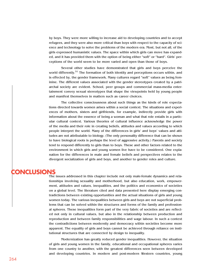by boys. They were more willing to increase aid to developing countries and to accept refugees, and they were also more critical than boys with respect to the capacity of science and technology to solve the problems of the modern era. Most, but not all, of the girls expressed humanistic values. The space within which girls can move has expanded, and it has provided them with the option of being either "soft" or "hard". Girls' perceptions of the world seem to be more varied and open than those of boys.

Several other studies have demonstrated that girls and boys perceive the world differently.<sup>51</sup> The formation of both identity and perceptions occurs within, and is effected by, the gender framework. Many cultures regard "soft" values as being feminine. The different values associated with the gender stereotypes created by a patriarchal society are evident. School, peer groups and commercial mass-media entertainment convey sexual stereotypes that shape the viewpoints held by young people and manifest themselves in matters such as career choices.

The collective consciousness about such things as the kinds of role expectations directed towards women arises within a social context. The situations and experiences of mothers, sisters and girlfriends, for example, indirectly provide girls with information about the essence of being a woman and what that role entails in a particular cultural context. Various theories of cultural influence acknowledge the power of the media and their role in creating beliefs, attitudes and values according to which people interpret the world. Many of the differences in girls' and boys' values and attitudes are not attributable to biology. (The only personality difference that can be shown to have biological roots is perhaps the level of aggressive activity.) Parents and society tend to respond differently to girls than to boys. These and other factors related to the environment in which girls and young women live have to be considered. One explanation for the differences in male and female beliefs and perspectives relates to the divergent socialization of girls and boys, and another to gender roles and culture.

### **CONCLUSIONS**

The issues addressed in this chapter include not only male-female dynamics and relationships involving sexuality and motherhood, but also education, work, empowerment, attitudes and values, inequalities, and the politics and economics of societies on a global level. The literature cited and data presented here display emerging contradictions between existing opportunities and the actual situations of girls and young women today. The various inequalities between girls and boys are not superficial problems that can be solved within the structures and forms of the family and professional spheres. These inequalities form part of the very fabric of societies and are reflected not only in cultural values, but also in the relationship between production and reproduction and between family responsibilities and wage labour. In such a context the contradictions between modernity and democracy within societies become more apparent. The equality of girls and boys cannot be achieved through reliance on institutional structures that are connected by design to inequality.

Modernization has greatly reduced gender inequalities. However, the situation of girls and young women in the family, educational and occupational spheres varies from one country to another, with the greatest differences seen between developed and developing countries. In modern and post-modern Western countries, young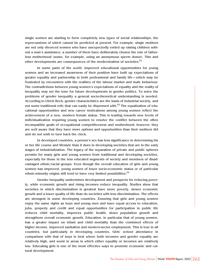single women are starting to form completely new types of social relationships, the repercussions of which cannot be predicted at present. For example, single mothers are not only divorced women who have unexpectedly ended up raising children without a man's assistance; a number of them have deliberately chosen the role of fatherless motherhood (some, for example, using an anonymous sperm donor). This and other developments are consequences of the modernization of societies.<sup>52</sup>

In some parts of the world, improved educational opportunities for young women and an increased awareness of their position have built up expectations of greater equality and partnership in both professional and family life—which may be frustrated by encounters with the realities of the labour market and male behaviour. The contradictions between young women's expectations of equality and the reality of inequality may set the tone for future developments in gender politics. To solve the problems of gender inequality a general socio-theoretical understanding is needed. According to Ulrich Beck, gender characteristics are the basis of industrial society, and not some traditional relic that can easily be dispensed with.<sup>53</sup> The equalization of educational opportunities and new career motivations among young women reflect the achievement of a new, modern female status. This is leading towards new levels of individualization requiring young women to resolve the conflict between the often incompatible goals of occupational competitiveness and motherhood; however, they are well aware that they have more options and opportunities than their mothers did and do not wish to turn back the clock.

In developed countries, a person's sex has less significance in determining his or her life course and lifestyle than it does in developing societies that are in the early stages of industrialization. The legacy of the separation of private and public spheres persists for many girls and young women from traditional and developing societies, especially for those in the less educated segments of society and members of disadvantaged ethnic/racial groups. Even though the overall education of girls and young women has improved, young women of lower socio-economic status or of particular ethnic-minority origins still tend to have very limited possibilities.<sup>54</sup>

Gender inequality undermines development and prospects for reducing poverty, while economic growth and rising incomes reduce inequality. Studies show that societies in which discrimination is greatest have more poverty, slower economic growth and a lower quality of life than do societies with less discrimination. The effects are strongest in some developing countries. Ensuring that girls and young women enjoy the same rights as boys and young men and have equal access to education, jobs, property and credit and equal opportunities for participation in public life reduces child mortality, improves public health, slows population growth and strengthens overall economic growth. Education, in particular that of young women, has a greater impact on infant and child mortality than the combined effects of higher income, improved sanitation and modern-sector employment. This is true in all countries, but particularly in developing countries. Girls' school attendance in comparison with that of boys is best where both incomes and gender equality are relatively high, and worst in areas in which either equality or incomes are relatively low. Educating girls is one of the most effective ways to promote economic and cultural development.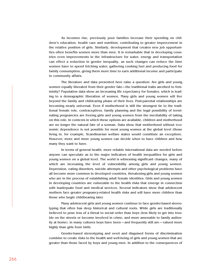As incomes rise, previously poor families increase their spending on children's education, health care and nutrition, contributing to greater improvement in the relative position of girls. Similarly, development that creates new job opportunities often benefits women more than men. It is remarkable that in developing countries even improvements in the infrastructure for water, energy and transportation can effect a reduction in gender inequality, as such changes can reduce the time women have to spend fetching water, gathering cooking fuel and producing food for family consumption, giving them more time to earn additional income and participate in community affairs.

The literature and data presented here raise a question: Are girls and young women equally liberated from their gender fate—the traditional traits ascribed to femininity? Population data show an increasing life expectancy for females, which is leading to a demographic liberation of women. Many girls and young women will live beyond the family and childcaring phase of their lives. Post-parental relationships are becoming nearly universal. Even if motherhood is still the strongest tie to the traditional female role, contraceptives, family planning and the legal possibility of terminating pregnancies are freeing girls and young women from the inevitability of taking on this role. In contexts in which these options are available, children and motherhood are no longer the natural fate of a woman. Data show that motherhood without economic dependence is not possible for most young women at the global level (those living in, for example, Scandinavian welfare states would constitute an exception). However, more and more young women can decide when to have children and how many they want to have.

In terms of general health, more reliable international data are needed before anyone can speculate as to the major indicators of health inequalities for girls and young women on a global level. The world is witnessing significant changes, many of which are increasing the level of vulnerability among girls and young women. Depression, eating disorders, suicide attempts and other psychological problems have all become more common in developed countries, threatening girls and young women who are in the process of establishing adult female identities. Girls and young women in developing countries are vulnerable to the health risks that emerge in connection with inadequate food and medical services. Several indicators show that adolescent mothers face greater pregnancy-related health risks and will have more children than those who begin childbearing later.

Many adolescent girls and young women continue to face gender-based stereotyping that often has deep historical and cultural roots. While girls are traditionally believed to pose less of a threat to social order than boys (less likely to get into trouble on the streets or become involved in crime, and more amenable to family authority at home), in many cultures boys have been—and frequently still are—valued more highly than girls from birth.

Gender-based stereotyping and overt and disguised forms of discrimination combine to create risks to the health and well-being of girls and young women that are greater than those faced by boys and young men. In addition to the consequences of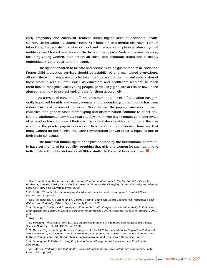early pregnancy and childbirth, females suffer higher rates of accidental death, suicide, victimization by violent crime, STD infection and mental disorders. Female infanticide, inadequate provision of food and medical care, physical abuse, genital mutilation and forced sex threaten the lives of many girls. Violence against women, including young women, cuts across all social and economic strata and is deeply embedded in cultures around the world.

The right of children to be safe and secure must be guaranteed in all societies. Proper child protection services should be established and maintained everywhere. All over the world, steps need to be taken to improve the training and supervision of those working with children (such as educators and health-care workers) to teach them how to recognize when young people, particularly girls, are at risk or have been abused, and how to protect and/or care for them accordingly.

As a result of concerted efforts, enrolment at all levels of education has generally improved for girls and young women, and the gender gap in schooling has been reduced in most regions of the world. Nevertheless, the gap remains wide in many countries, and gender-based stereotyping and discrimination continue to affect educational attainment. Many individual young women who have completed higher levels of education have increased their earning potential—a positive outcome of the narrowing of the gender gap in education. There is still ample evidence, however, that many women do not receive the same remuneration for work that is equal to that of their male colleagues.

The universal human rights principles adopted by the international community have set the norm for equality, requiring that girls and women be seen as unique individuals with rights and responsibilities similar to those of boys and men.■

 $1$  See D. Anderson, The Unfinished Revolution: The Status of Women in Twelve Countries (Toronto, Doubleday Canada, 1991); and J. Côté, Arrested Adulthood: The Changing Nature of Maturity and Identity (New York, New York University Press, 2000).

 $2$  C. Griffin, "Troubled teens: managing disorders of transition and consumption", Feminist Review, vol. 55 (1997), pp. 4-21.

<sup>3</sup> See, for example, A. Furlong and F. Cartmel, Young People and Social Change: Individualization and Risk in Late Modernity (Bristol, Open University Press, 1997).

 $4$  A. Furlong, B. Stalder and A. Azzopardi, *Vulnerable Youth: Perspectives on Vulnerability in Education*, Employment and Leisure in Europe: European Youth Trends 2000 (Strasbourg, Council of Europe, 2000), p. 9.

<sup>5</sup> Ibid., p. 10.

 $6$  H. Sweeting, "Reversals of fortune? Sex differences in health in childhood and adolescence", Social Science Medicine, vol. 40 (1995), pp. 77-90.

 $7$  W. Meeus, "Psychosocial problems and support", in Social Networks and Social Support in Childhood and Adolescence, F. Nestmann and K. Hurrelmann, eds. (Berlin, de Gruyter, 1994); and A. Furlong and F. Cartmel, Young People and Social Change: Individualization and Risk in Late Modernity..., p. 67.

 $8$  A. Furlong and F. Cartmel, Young People and Social Change: Individualization and Risk in Late Modernity...

 $9$  A. Giddens, Modernity and Self-Identity: Self and Society in the Late-Modern Age (Cambridge, Polity Press, 1991), p. 104.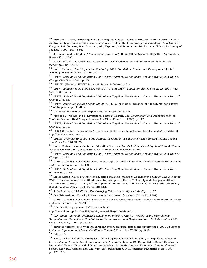<sup>10</sup> Also see H. Helve, "What happened to young 'humanists', 'individualists', and 'traditionalists'? A comparative study of changing value-worlds of young people in the framework of post-modernity", in Youth in Everyday Life Contexts, Vesa Puuronen, ed., Psychological Reports, No. 20 (Joensuu, Finland, University of Joensuu, 1999), pp. 48-66.

 $11$  J. Graham and B. Bowling, "Young people and crime", Home Office Research Study No. 145 (London, Home Office, 1995).

<sup>12</sup> A. Furlong and F. Cartmel, Young People and Social Change: Individualization and Risk in Late Modernity..., pp. 75-76.

<sup>13</sup> United Nations, World Population Monitoring 2000: Population, Gender and Development (United Nations publication, Sales No. E.01.XIII.14).

<sup>14</sup> UNFPA, State of World Population 2000–Lives Together, Worlds Apart: Men and Women in a Time of Change (New York, 2000), p. 18.

<sup>15</sup> UNICEF, (Florence, UNICEF Innocenti Research Centre, 2001).

<sup>16</sup> UNFPA, Annual Report 1999 (New York), p. 10; and UNFPA, Population Issues Briefing Kit 2001 (New York, 2001), p. 17.

<sup>17</sup> UNFPA, State of World Population 2000–Lives Together, Worlds Apart: Men and Women in a Time of Change…, p. 13.

<sup>18</sup> UNFPA, Population Issues Briefing Kit 2001..., p. 9; for more information on the subject, see chapter 13 of the present publication.

<sup>19</sup> For more information, see chapter 1 of the present publication.

<sup>20</sup> Also see C. Wallace and S. Kovatcheva, Youth in Society: The Construction and Deconstruction of Youth in East and West Europe (London, MacMillan Press Ltd., 1998), p. 117.

<sup>21</sup> UNFPA, State of World Population 2000—Lives Together, Worlds Apart: Men and Women in a Time of Change…, p. 41.

 $22$  UNESCO Institute for Statistics, "Regional youth illiteracy rate and population by gender", available at http://www.uis.unesco.org.

<sup>23</sup> UNICEF, Progress Since the World Summit for Children: A Statistical Review (United Nations publication, Sales No. E.01.XX.20).

 $^{24}$  United States, National Center for Education Statistics, Trends In Educational Equity of Girls & Women, <sup>2000</sup> (Washington, D.C., United States Government Printing Office, 2000).

<sup>25</sup> UNFPA, State of World Population 2000—Lives Together, Worlds Apart: Men and Women in a Time of Change…, p. 41.

 $26$  C. Wallace and S. Kovatcheva, Youth In Society: The Construction and Deconstruction of Youth in East and West Europe..., pp. 118-120.

 $27$  UNFPA, State of World Population 2000–Lives Together, Worlds Apart: Men and Women in a Time of Change…, p. 41.

<sup>28</sup> United States, National Center for Education Statistics, Trends In Educational Equity of Girls & Women, 2000...; for more about such attitudes see, for example, H. Helve, "Reflexivity and changes in attitudes and value structures", in Youth, Citizenship and Empowerment, H. Helve and C. Wallace, eds. (Aldershot, United Kingdom, Ashgate, 2001), pp. 201-218.

 $^{29}$  J. Côté, Arrested Adulthood: The Changing Nature of Maturity and Identity..., p. 23.

<sup>30</sup> Swedish Institute, "Equality between women and men", fact sheet (Stocholm, 1997).

<sup>31</sup> C. Wallace and S. Kovatcheva, Youth in Society: The Construction and Deconstruction of Youth in East and West Europe..., pp. 20-21.

<sup>32</sup> ILO, "Youth employment, 2002", available at

http://www.ilo.org/public/english/employment/skills/youth/labour.htm.

<sup>33</sup> ILO, Employing Youth: Promoting Employment-Intensive Growth—Report for the Interregional Symposium on Strategies to Combat Youth Unemployment and Marginalization, 13-14 December 1999, Geneva (Geneva, 2000), pp. 16-17.

 $34$  Eurostat, "Income poverty in the European Union: children, gender and poverty gaps, 2000", Statistics in Focus: Population and Social Conditions, Theme 3 (December 2000), pp. 3-12.

<sup>35</sup> Ibid., p. 3.

<sup>36</sup> K.M.J. Lagerspetz and K. Björkqvist, "Indirect aggression in boys and girls", in Aggressive Behavior: Current Perspectives, L. Rowell Huesmann, ed. (New York, Plenum, 1994), pp. 131-150; and M. Chesney-Lind and M. Brown, "Girls and violence: an overview", in Youth Violence: Prevention, Intervention and Social Policy, D.J. Flannery and C.R. Huff, eds. (Washington, D.C., American Psychiatric Press, 1999), pp. 171-199.